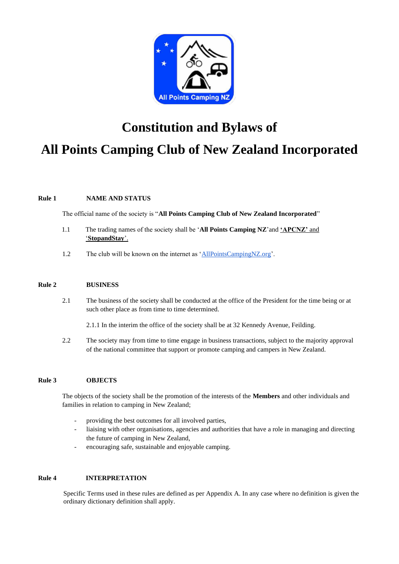

# **Constitution and Bylaws of All Points Camping Club of New Zealand Incorporated**

## **Rule 1 NAME AND STATUS**

The official name of the society is "**All Points Camping Club of New Zealand Incorporated**"

- 1.1 The trading names of the society shall be '**All Points Camping NZ**'and **'APCNZ'** and '**StopandStay**'.
- 1.2 The club will be known on the internet as ['AllPointsCampingNZ.org'](http://www.allpointscampingnz.org/).

## **Rule 2 BUSINESS**

- 2.1 The business of the society shall be conducted at the office of the President for the time being or at such other place as from time to time determined.
	- 2.1.1 In the interim the office of the society shall be at 32 Kennedy Avenue, Feilding.
- 2.2 The society may from time to time engage in business transactions, subject to the majority approval of the national committee that support or promote camping and campers in New Zealand.

## **Rule 3 OBJECTS**

The objects of the society shall be the promotion of the interests of the **Members** and other individuals and families in relation to camping in New Zealand;

- providing the best outcomes for all involved parties,
- liaising with other organisations, agencies and authorities that have a role in managing and directing the future of camping in New Zealand,
- encouraging safe, sustainable and enjoyable camping.

#### **Rule 4 INTERPRETATION**

Specific Terms used in these rules are defined as per Appendix A. In any case where no definition is given the ordinary dictionary definition shall apply.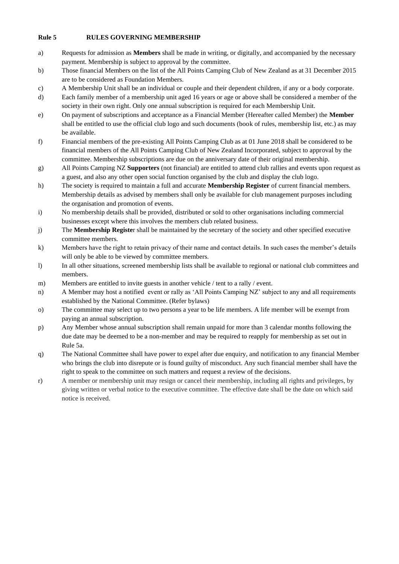## **Rule 5 RULES GOVERNING MEMBERSHIP**

- a) Requests for admission as **Members** shall be made in writing, or digitally, and accompanied by the necessary payment. Membership is subject to approval by the committee.
- b) Those financial Members on the list of the All Points Camping Club of New Zealand as at 31 December 2015 are to be considered as Foundation Members.
- c) A Membership Unit shall be an individual or couple and their dependent children, if any or a body corporate.
- d) Each family member of a membership unit aged 16 years or age or above shall be considered a member of the society in their own right. Only one annual subscription is required for each Membership Unit.
- e) On payment of subscriptions and acceptance as a Financial Member (Hereafter called Member) the **Member** shall be entitled to use the official club logo and such documents (book of rules, membership list, etc.) as may be available.
- f) Financial members of the pre-existing All Points Camping Club as at 01 June 2018 shall be considered to be financial members of the All Points Camping Club of New Zealand Incorporated, subject to approval by the committee. Membership subscriptions are due on the anniversary date of their original membership.
- g) All Points Camping NZ **Supporters** (not financial) are entitled to attend club rallies and events upon request as a guest, and also any other open social function organised by the club and display the club logo.
- h) The society is required to maintain a full and accurate **Membership Register** of current financial members. Membership details as advised by members shall only be available for club management purposes including the organisation and promotion of events.
- i) No membership details shall be provided, distributed or sold to other organisations including commercial businesses except where this involves the members club related business.
- j) The **Membership Registe**r shall be maintained by the secretary of the society and other specified executive committee members.
- k) Members have the right to retain privacy of their name and contact details. In such cases the member's details will only be able to be viewed by committee members.
- l) In all other situations, screened membership lists shall be available to regional or national club committees and members.
- m) Members are entitled to invite guests in another vehicle / tent to a rally / event.
- n) A Member may host a notified event or rally as 'All Points Camping NZ' subject to any and all requirements established by the National Committee. (Refer bylaws)
- o) The committee may select up to two persons a year to be life members. A life member will be exempt from paying an annual subscription.
- p) Any Member whose annual subscription shall remain unpaid for more than 3 calendar months following the due date may be deemed to be a non-member and may be required to reapply for membership as set out in Rule 5a.
- q) The National Committee shall have power to expel after due enquiry, and notification to any financial Member who brings the club into disrepute or is found guilty of misconduct. Any such financial member shall have the right to speak to the committee on such matters and request a review of the decisions.
- r) A member or membership unit may resign or cancel their membership, including all rights and privileges, by giving written or verbal notice to the executive committee. The effective date shall be the date on which said notice is received.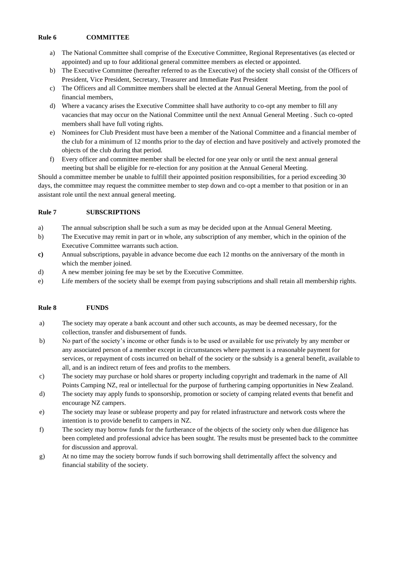#### **Rule 6 COMMITTEE**

- a) The National Committee shall comprise of the Executive Committee, Regional Representatives (as elected or appointed) and up to four additional general committee members as elected or appointed.
- b) The Executive Committee (hereafter referred to as the Executive) of the society shall consist of the Officers of President, Vice President, Secretary, Treasurer and Immediate Past President
- c) The Officers and all Committee members shall be elected at the Annual General Meeting, from the pool of financial members,
- d) Where a vacancy arises the Executive Committee shall have authority to co-opt any member to fill any vacancies that may occur on the National Committee until the next Annual General Meeting . Such co-opted members shall have full voting rights.
- e) Nominees for Club President must have been a member of the National Committee and a financial member of the club for a minimum of 12 months prior to the day of election and have positively and actively promoted the objects of the club during that period.
- f) Every officer and committee member shall be elected for one year only or until the next annual general meeting but shall be eligible for re-election for any position at the Annual General Meeting.

Should a committee member be unable to fulfill their appointed position responsibilities, for a period exceeding 30 days, the committee may request the committee member to step down and co-opt a member to that position or in an assistant role until the next annual general meeting.

#### **Rule 7 SUBSCRIPTIONS**

- a) The annual subscription shall be such a sum as may be decided upon at the Annual General Meeting.
- b) The Executive may remit in part or in whole, any subscription of any member, which in the opinion of the Executive Committee warrants such action.
- **c)** Annual subscriptions, payable in advance become due each 12 months on the anniversary of the month in which the member joined.
- d) A new member joining fee may be set by the Executive Committee.
- e) Life members of the society shall be exempt from paying subscriptions and shall retain all membership rights.

# **Rule 8 FUNDS**

- a) The society may operate a bank account and other such accounts, as may be deemed necessary, for the collection, transfer and disbursement of funds.
- b) No part of the society's income or other funds is to be used or available for use privately by any member or any associated person of a member except in circumstances where payment is a reasonable payment for services, or repayment of costs incurred on behalf of the society or the subsidy is a general benefit, available to all, and is an indirect return of fees and profits to the members.
- c) The society may purchase or hold shares or property including copyright and trademark in the name of All Points Camping NZ, real or intellectual for the purpose of furthering camping opportunities in New Zealand.
- d) The society may apply funds to sponsorship, promotion or society of camping related events that benefit and encourage NZ campers.
- e) The society may lease or sublease property and pay for related infrastructure and network costs where the intention is to provide benefit to campers in NZ.
- f) The society may borrow funds for the furtherance of the objects of the society only when due diligence has been completed and professional advice has been sought. The results must be presented back to the committee for discussion and approval.
- g) At no time may the society borrow funds if such borrowing shall detrimentally affect the solvency and financial stability of the society.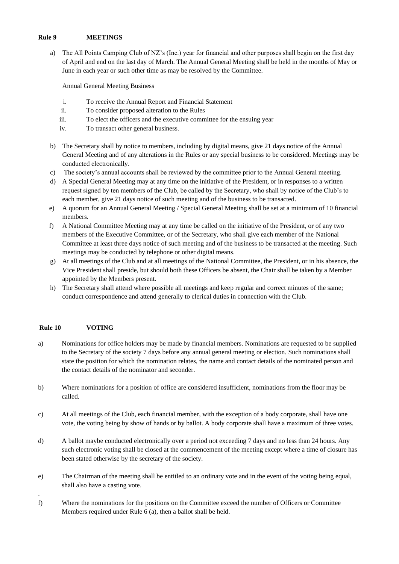#### **Rule 9 MEETINGS**

a) The All Points Camping Club of NZ's (Inc.) year for financial and other purposes shall begin on the first day of April and end on the last day of March. The Annual General Meeting shall be held in the months of May or June in each year or such other time as may be resolved by the Committee.

Annual General Meeting Business

- i. To receive the Annual Report and Financial Statement
- ii. To consider proposed alteration to the Rules
- iii. To elect the officers and the executive committee for the ensuing year
- iv. To transact other general business.
- b) The Secretary shall by notice to members, including by digital means, give 21 days notice of the Annual General Meeting and of any alterations in the Rules or any special business to be considered. Meetings may be conducted electronically.
- c) The society's annual accounts shall be reviewed by the committee prior to the Annual General meeting.
- d) A Special General Meeting may at any time on the initiative of the President, or in responses to a written request signed by ten members of the Club, be called by the Secretary, who shall by notice of the Club's to each member, give 21 days notice of such meeting and of the business to be transacted.
- e) A quorum for an Annual General Meeting / Special General Meeting shall be set at a minimum of 10 financial members.
- f) A National Committee Meeting may at any time be called on the initiative of the President, or of any two members of the Executive Committee, or of the Secretary, who shall give each member of the National Committee at least three days notice of such meeting and of the business to be transacted at the meeting. Such meetings may be conducted by telephone or other digital means.
- g) At all meetings of the Club and at all meetings of the National Committee, the President, or in his absence, the Vice President shall preside, but should both these Officers be absent, the Chair shall be taken by a Member appointed by the Members present.
- h) The Secretary shall attend where possible all meetings and keep regular and correct minutes of the same; conduct correspondence and attend generally to clerical duties in connection with the Club.

# **Rule 10 VOTING**

.

- a) Nominations for office holders may be made by financial members. Nominations are requested to be supplied to the Secretary of the society 7 days before any annual general meeting or election. Such nominations shall state the position for which the nomination relates, the name and contact details of the nominated person and the contact details of the nominator and seconder.
- b) Where nominations for a position of office are considered insufficient, nominations from the floor may be called.
- c) At all meetings of the Club, each financial member, with the exception of a body corporate, shall have one vote, the voting being by show of hands or by ballot. A body corporate shall have a maximum of three votes.
- d) A ballot maybe conducted electronically over a period not exceeding 7 days and no less than 24 hours. Any such electronic voting shall be closed at the commencement of the meeting except where a time of closure has been stated otherwise by the secretary of the society.
- e) The Chairman of the meeting shall be entitled to an ordinary vote and in the event of the voting being equal, shall also have a casting vote.
- f) Where the nominations for the positions on the Committee exceed the number of Officers or Committee Members required under Rule 6 (a), then a ballot shall be held.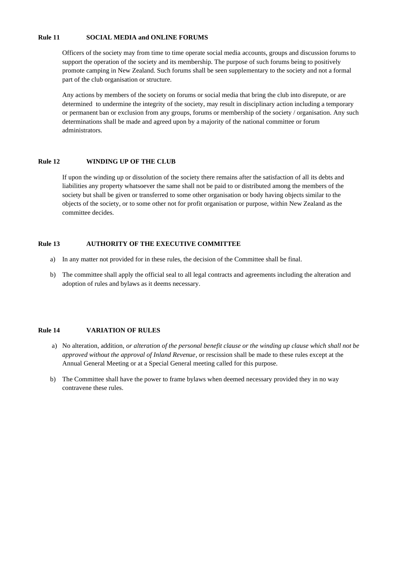#### **Rule 11 SOCIAL MEDIA and ONLINE FORUMS**

Officers of the society may from time to time operate social media accounts, groups and discussion forums to support the operation of the society and its membership. The purpose of such forums being to positively promote camping in New Zealand. Such forums shall be seen supplementary to the society and not a formal part of the club organisation or structure.

Any actions by members of the society on forums or social media that bring the club into disrepute, or are determined to undermine the integrity of the society, may result in disciplinary action including a temporary or permanent ban or exclusion from any groups, forums or membership of the society / organisation. Any such determinations shall be made and agreed upon by a majority of the national committee or forum administrators.

#### **Rule 12 WINDING UP OF THE CLUB**

If upon the winding up or dissolution of the society there remains after the satisfaction of all its debts and liabilities any property whatsoever the same shall not be paid to or distributed among the members of the society but shall be given or transferred to some other organisation or body having objects similar to the objects of the society, or to some other not for profit organisation or purpose, within New Zealand as the committee decides.

#### **Rule 13 AUTHORITY OF THE EXECUTIVE COMMITTEE**

- a) In any matter not provided for in these rules, the decision of the Committee shall be final.
- b) The committee shall apply the official seal to all legal contracts and agreements including the alteration and adoption of rules and bylaws as it deems necessary.

#### **Rule 14 VARIATION OF RULES**

- a) No alteration, addition, *or alteration of the personal benefit clause or the winding up clause which shall not be approved without the approval of Inland Revenue*, or rescission shall be made to these rules except at the Annual General Meeting or at a Special General meeting called for this purpose.
- b) The Committee shall have the power to frame bylaws when deemed necessary provided they in no way contravene these rules.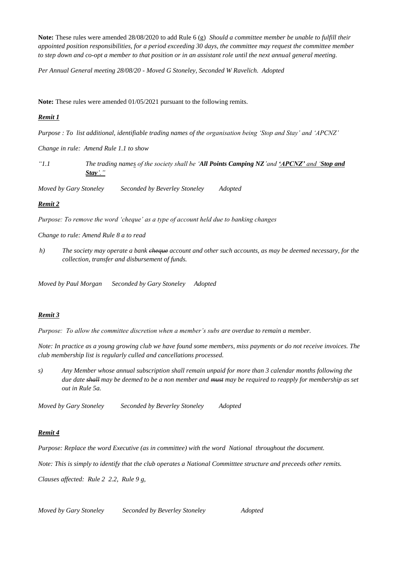**Note:** These rules were amended 28/08/2020 to add Rule 6 (g) *Should a committee member be unable to fulfill their appointed position responsibilities, for a period exceeding 30 days, the committee may request the committee member to step down and co-opt a member to that position or in an assistant role until the next annual general meeting.*

*Per Annual General meeting 28/08/20 - Moved G Stoneley, Seconded W Ravelich. Adopted*

**Note:** These rules were amended 01/05/2021 pursuant to the following remits.

# *Remit 1*

*Purpose : To list additional, identifiable trading names of the organisation being 'Stop and Stay' and 'APCNZ'*

*Change in rule: Amend Rule 1.1 to show* 

*"1.1 The trading names of the society shall be 'All Points Camping NZ'and 'APCNZ' and 'Stop and Stay'."*

*Moved by Gary Stoneley Seconded by Beverley Stoneley Adopted*

# *Remit 2*

*Purpose: To remove the word 'cheque' as a type of account held due to banking changes* 

*Change to rule: Amend Rule 8 a to read*

*h) The society may operate a bank cheque account and other such accounts, as may be deemed necessary, for the collection, transfer and disbursement of funds.*

*Moved by Paul Morgan Seconded by Gary Stoneley Adopted*

#### *Remit 3*

*Purpose: To allow the committee discretion when a member's subs are overdue to remain a member.*

*Note: In practice as a young growing club we have found some members, miss payments or do not receive invoices. The club membership list is regularly culled and cancellations processed.* 

*s) Any Member whose annual subscription shall remain unpaid for more than 3 calendar months following the due date shall may be deemed to be a non member and must may be required to reapply for membership as set out in Rule 5a.* 

*Moved by Gary Stoneley Seconded by Beverley Stoneley Adopted*

# *Remit 4*

*Purpose: Replace the word Executive (as in committee) with the word National throughout the document.*

*Note: This is simply to identify that the club operates a National Committtee structure and preceeds other remits.*

*Clauses affected: Rule 2 2.2, Rule 9 g,* 

*Moved by Gary Stoneley Seconded by Beverley Stoneley Adopted*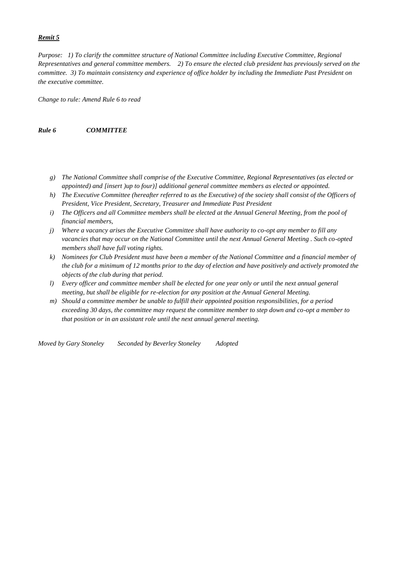## *Remit 5*

*Purpose: 1) To clarify the committee structure of National Committee including Executive Committee, Regional Representatives and general committee members. 2) To ensure the elected club president has previously served on the committee. 3) To maintain consistency and experience of office holder by including the Immediate Past President on the executive committee.* 

*Change to rule: Amend Rule 6 to read* 

#### *Rule 6 COMMITTEE*

- *g) The National Committee shall comprise of the Executive Committee, Regional Representatives (as elected or appointed) and [insert )up to four)] additional general committee members as elected or appointed.*
- *h)* The Executive Committee (hereafter referred to as the Executive) of the society shall consist of the Officers of *President, Vice President, Secretary, Treasurer and Immediate Past President*
- *i) The Officers and all Committee members shall be elected at the Annual General Meeting, from the pool of financial members,*
- *j) Where a vacancy arises the Executive Committee shall have authority to co-opt any member to fill any vacancies that may occur on the National Committee until the next Annual General Meeting . Such co-opted members shall have full voting rights.*
- *k) Nominees for Club President must have been a member of the National Committee and a financial member of the club for a minimum of 12 months prior to the day of election and have positively and actively promoted the objects of the club during that period.*
- *l) Every officer and committee member shall be elected for one year only or until the next annual general meeting, but shall be eligible for re-election for any position at the Annual General Meeting.*
- *m) Should a committee member be unable to fulfill their appointed position responsibilities, for a period exceeding 30 days, the committee may request the committee member to step down and co-opt a member to that position or in an assistant role until the next annual general meeting.*

*Moved by Gary Stoneley Seconded by Beverley Stoneley Adopted*